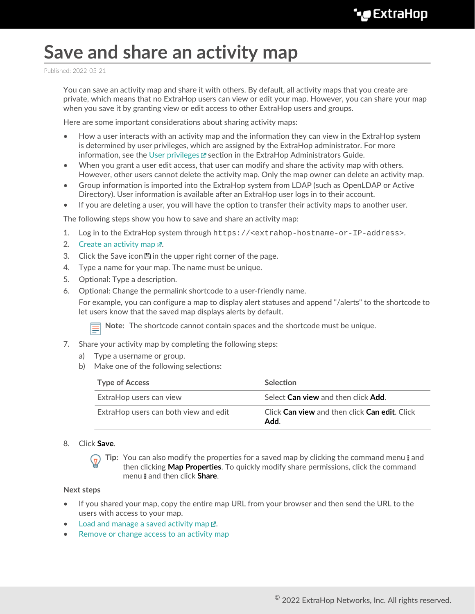## **Save and share an activity map**

Published: 2022-05-21

You can save an activity map and share it with others. By default, all activity maps that you create are private, which means that no ExtraHop users can view or edit your map. However, you can share your map when you save it by granting view or edit access to other ExtraHop users and groups.

Here are some important considerations about sharing activity maps:

- How a user interacts with an activity map and the information they can view in the ExtraHop system is determined by user privileges, which are assigned by the ExtraHop administrator. For more information, see the [User privileges](https://docs.extrahop.com/8.9/eh-admin-ui-guide/#user-privileges)  $\mathbb F$  section in the ExtraHop Administrators Guide.
- When you grant a user edit access, that user can modify and share the activity map with others. However, other users cannot delete the activity map. Only the map owner can delete an activity map.
- Group information is imported into the ExtraHop system from LDAP (such as OpenLDAP or Active Directory). User information is available after an ExtraHop user logs in to their account.
- If you are deleting a user, you will have the option to transfer their activity maps to another user.

The following steps show you how to save and share an activity map:

- 1. Log in to the ExtraHop system through https://<extrahop-hostname-or-IP-address>.
- 2. Create an activity map  $\mathbb{Z}$ .
- 3. Click the Save icon  $\mathbb B$  in the upper right corner of the page.
- 4. Type a name for your map. The name must be unique.
- 5. Optional: Type a description.
- 6. Optional: Change the permalink shortcode to a user-friendly name.

For example, you can configure a map to display alert statuses and append "/alerts" to the shortcode to let users know that the saved map displays alerts by default.

**Note:** The shortcode cannot contain spaces and the shortcode must be unique.

- 7. Share your activity map by completing the following steps:
	- a) Type a username or group.
	- b) Make one of the following selections:

| <b>Type of Access</b>                 | <b>Selection</b>                                      |
|---------------------------------------|-------------------------------------------------------|
| ExtraHop users can view               | Select Can view and then click Add.                   |
| ExtraHop users can both view and edit | Click Can view and then click Can edit. Click<br>Add. |

## 8. Click **Save**.

**Tip:** You can also modify the properties for a saved map by clicking the command menu! and then clicking **Map Properties**. To quickly modify share permissions, click the command menu **and then click Share.** 

## **Next steps**

- If you shared your map, copy the entire map URL from your browser and then send the URL to the users with access to your map.
- Load and manage a saved activity map  $\mathbb{F}$ .
- [Remove or change access to an activity map](#page-1-0)